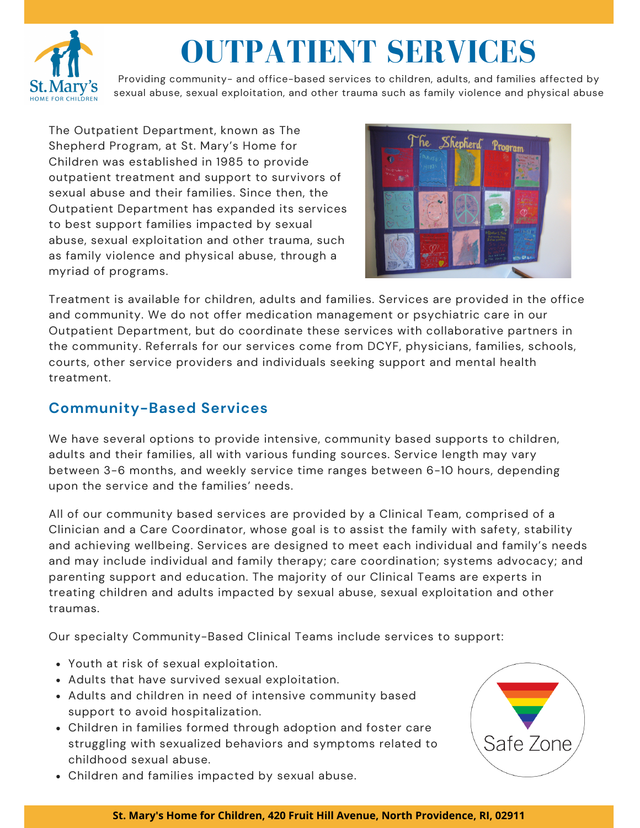

# **OUTPATIENT SERVICES**

Providing community- and office-based services to children, adults, and families affected by sexual abuse, sexual exploitation, and other trauma such as family violence and physical abuse

The Outpatient Department, known as The Shepherd Program, at St. Mary's Home for Children was established in 1985 to provide outpatient treatment and support to survivors of sexual abuse and their families. Since then, the Outpatient Department has expanded its services to best support families impacted by sexual abuse, sexual exploitation and other trauma, such as family violence and physical abuse, through a myriad of programs.



Treatment is available for children, adults and families. Services are provided in the office and community. We do not offer medication management or psychiatric care in our Outpatient Department, but do coordinate these services with collaborative partners in the community. Referrals for our services come from DCYF, physicians, families, schools, courts, other service providers and individuals seeking support and mental health treatment.

## **Community-Based Services**

We have several options to provide intensive, community based supports to children, adults and their families, all with various funding sources. Service length may vary between 3-6 months, and weekly service time ranges between 6-10 hours, depending upon the service and the families' needs.

All of our community based services are provided by a Clinical Team, comprised of a Clinician and a Care Coordinator, whose goal is to assist the family with safety, stability and achieving wellbeing. Services are designed to meet each individual and family's needs and may include individual and family therapy; care coordination; systems advocacy; and parenting support and education. The majority of our Clinical Teams are experts in treating children and adults impacted by sexual abuse, sexual exploitation and other traumas.

Our specialty Community-Based Clinical Teams include services to support:

- Youth at risk of sexual exploitation.
- Adults that have survived sexual exploitation.
- Adults and children in need of intensive community based support to avoid hospitalization.
- Children in families formed through adoption and foster care struggling with sexualized behaviors and symptoms related to childhood sexual abuse.
- Children and families impacted by sexual abuse.